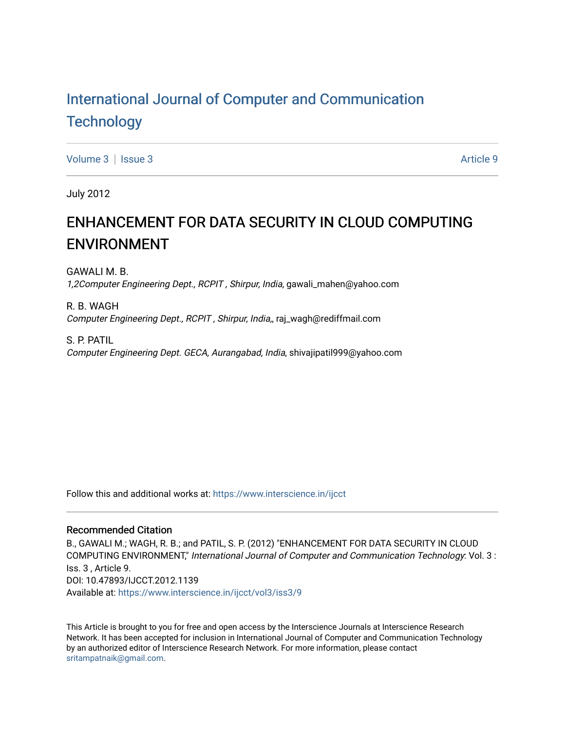# [International Journal of Computer and Communication](https://www.interscience.in/ijcct)  **Technology**

[Volume 3](https://www.interscience.in/ijcct/vol3) | [Issue 3](https://www.interscience.in/ijcct/vol3/iss3) Article 9

July 2012

# ENHANCEMENT FOR DATA SECURITY IN CLOUD COMPUTING ENVIRONMENT

GAWALI M. B. 1,2Computer Engineering Dept., RCPIT , Shirpur, India, gawali\_mahen@yahoo.com

R. B. WAGH Computer Engineering Dept., RCPIT , Shirpur, India,, raj\_wagh@rediffmail.com

S. P. PATIL Computer Engineering Dept. GECA, Aurangabad, India, shivajipatil999@yahoo.com

Follow this and additional works at: [https://www.interscience.in/ijcct](https://www.interscience.in/ijcct?utm_source=www.interscience.in%2Fijcct%2Fvol3%2Fiss3%2F9&utm_medium=PDF&utm_campaign=PDFCoverPages)

# Recommended Citation

B., GAWALI M.; WAGH, R. B.; and PATIL, S. P. (2012) "ENHANCEMENT FOR DATA SECURITY IN CLOUD COMPUTING ENVIRONMENT," International Journal of Computer and Communication Technology: Vol. 3 : Iss. 3 , Article 9. DOI: 10.47893/IJCCT.2012.1139 Available at: [https://www.interscience.in/ijcct/vol3/iss3/9](https://www.interscience.in/ijcct/vol3/iss3/9?utm_source=www.interscience.in%2Fijcct%2Fvol3%2Fiss3%2F9&utm_medium=PDF&utm_campaign=PDFCoverPages)

This Article is brought to you for free and open access by the Interscience Journals at Interscience Research Network. It has been accepted for inclusion in International Journal of Computer and Communication Technology by an authorized editor of Interscience Research Network. For more information, please contact [sritampatnaik@gmail.com](mailto:sritampatnaik@gmail.com).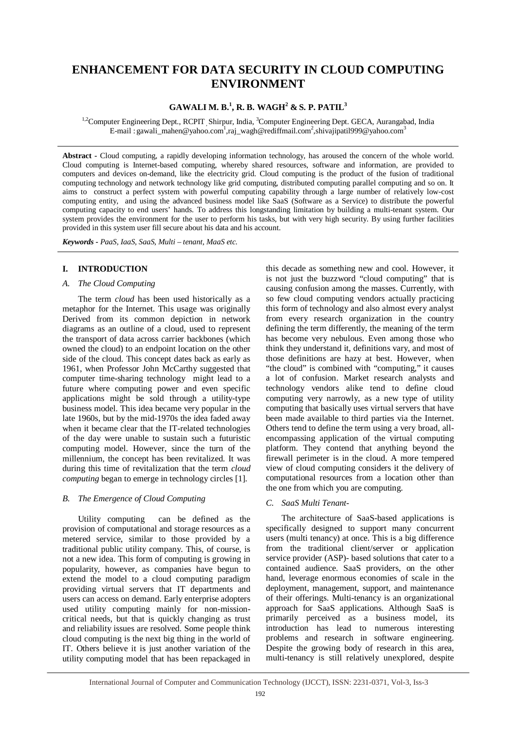# **ENHANCEMENT FOR DATA SECURITY IN CLOUD COMPUTING ENVIRONMENT**

# **GAWALI M. B.<sup>1</sup> , R. B. WAGH<sup>2</sup> & S. P. PATIL<sup>3</sup>**

<sup>1,2</sup>Computer Engineering Dept., RCPIT Shirpur, India, <sup>3</sup>Computer Engineering Dept. GECA, Aurangabad, India E-mail : gawali\_mahen@yahoo.com<sup>1</sup>,raj\_wagh@rediffmail.com<sup>2</sup>,shivajipatil999@yahoo.com<sup>3</sup>

**Abstract -** Cloud computing, a rapidly developing information technology, has aroused the concern of the whole world. Cloud computing is Internet-based computing, whereby shared resources, software and information, are provided to computers and devices on-demand, like the electricity grid. Cloud computing is the product of the fusion of traditional computing technology and network technology like grid computing, distributed computing parallel computing and so on. It aims to construct a perfect system with powerful computing capability through a large number of relatively low-cost computing entity, and using the advanced business model like SaaS (Software as a Service) to distribute the powerful computing capacity to end users' hands. To address this longstanding limitation by building a multi-tenant system. Our system provides the environment for the user to perform his tasks, but with very high security. By using further facilities provided in this system user fill secure about his data and his account.

*Keywords - PaaS, IaaS, SaaS, Multi – tenant, MaaS etc.*

# **I. INTRODUCTION**

# *A. The Cloud Computing*

The term *cloud* has been used historically as a metaphor for the Internet. This usage was originally Derived from its common depiction in network diagrams as an outline of a cloud, used to represent the transport of data across carrier backbones (which owned the cloud) to an endpoint location on the other side of the cloud. This concept dates back as early as 1961, when Professor John McCarthy suggested that computer time-sharing technology might lead to a future where computing power and even specific applications might be sold through a utility-type business model. This idea became very popular in the late 1960s, but by the mid-1970s the idea faded away when it became clear that the IT-related technologies of the day were unable to sustain such a futuristic computing model. However, since the turn of the millennium, the concept has been revitalized. It was during this time of revitalization that the term *cloud computing* began to emerge in technology circles [1].

# *B. The Emergence of Cloud Computing*

Utility computing can be defined as the provision of computational and storage resources as a metered service, similar to those provided by a traditional public utility company. This, of course, is not a new idea. This form of computing is growing in popularity, however, as companies have begun to extend the model to a cloud computing paradigm providing virtual servers that IT departments and users can access on demand. Early enterprise adopters used utility computing mainly for non-missioncritical needs, but that is quickly changing as trust and reliability issues are resolved. Some people think cloud computing is the next big thing in the world of IT. Others believe it is just another variation of the utility computing model that has been repackaged in

this decade as something new and cool. However, it is not just the buzzword "cloud computing" that is causing confusion among the masses. Currently, with so few cloud computing vendors actually practicing this form of technology and also almost every analyst from every research organization in the country defining the term differently, the meaning of the term has become very nebulous. Even among those who think they understand it, definitions vary, and most of those definitions are hazy at best. However, when "the cloud" is combined with "computing," it causes a lot of confusion. Market research analysts and technology vendors alike tend to define cloud computing very narrowly, as a new type of utility computing that basically uses virtual servers that have been made available to third parties via the Internet. Others tend to define the term using a very broad, allencompassing application of the virtual computing platform. They contend that anything beyond the firewall perimeter is in the cloud. A more tempered view of cloud computing considers it the delivery of computational resources from a location other than the one from which you are computing.

# *C. SaaS Multi Tenant-*

The architecture of SaaS-based applications is specifically designed to support many concurrent users (multi tenancy) at once. This is a big difference from the traditional client/server or application service provider (ASP)- based solutions that cater to a contained audience. SaaS providers, on the other hand, leverage enormous economies of scale in the deployment, management, support, and maintenance of their offerings. Multi-tenancy is an organizational approach for SaaS applications. Although SaaS is primarily perceived as a business model, its introduction has lead to numerous interesting problems and research in software engineering. Despite the growing body of research in this area, multi-tenancy is still relatively unexplored, despite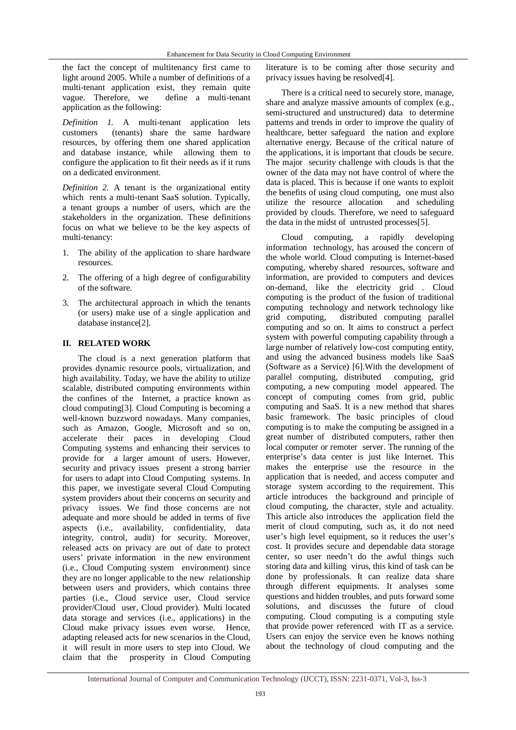the fact the concept of multitenancy first came to light around 2005. While a number of definitions of a multi-tenant application exist, they remain quite vague. Therefore, we define a multi-tenant application as the following:

*Definition 1.* A multi-tenant application lets customers (tenants) share the same hardware resources, by offering them one shared application and database instance, while allowing them to configure the application to fit their needs as if it runs on a dedicated environment.

*Definition 2.* A tenant is the organizational entity which rents a multi-tenant SaaS solution. Typically, a tenant groups a number of users, which are the stakeholders in the organization. These definitions focus on what we believe to be the key aspects of multi-tenancy:

- 1. The ability of the application to share hardware resources.
- 2. The offering of a high degree of configurability of the software.
- 3. The architectural approach in which the tenants (or users) make use of a single application and database instance[2].

# **II. RELATED WORK**

The cloud is a next generation platform that provides dynamic resource pools, virtualization, and high availability. Today, we have the ability to utilize scalable, distributed computing environments within the confines of the Internet, a practice known as cloud computing[3]. Cloud Computing is becoming a well-known buzzword nowadays. Many companies, such as Amazon, Google, Microsoft and so on, accelerate their paces in developing Cloud Computing systems and enhancing their services to provide for a larger amount of users. However, security and privacy issues present a strong barrier for users to adapt into Cloud Computing systems. In this paper, we investigate several Cloud Computing system providers about their concerns on security and privacy issues. We find those concerns are not adequate and more should be added in terms of five aspects (i.e., availability, confidentiality, data integrity, control, audit) for security. Moreover, released acts on privacy are out of date to protect users' private information in the new environment (i.e., Cloud Computing system environment) since they are no longer applicable to the new relationship between users and providers, which contains three parties (i.e., Cloud service user, Cloud service provider/Cloud user, Cloud provider). Multi located data storage and services (i.e., applications) in the Cloud make privacy issues even worse. Hence, adapting released acts for new scenarios in the Cloud, it will result in more users to step into Cloud. We claim that the prosperity in Cloud Computing

literature is to be coming after those security and privacy issues having be resolved[4].

There is a critical need to securely store, manage, share and analyze massive amounts of complex (e.g., semi-structured and unstructured) data to determine patterns and trends in order to improve the quality of healthcare, better safeguard the nation and explore alternative energy. Because of the critical nature of the applications, it is important that clouds be secure. The major security challenge with clouds is that the owner of the data may not have control of where the data is placed. This is because if one wants to exploit the benefits of using cloud computing, one must also utilize the resource allocation and scheduling provided by clouds. Therefore, we need to safeguard the data in the midst of untrusted processes[5].

Cloud computing, a rapidly developing information technology, has aroused the concern of the whole world. Cloud computing is Internet-based computing, whereby shared resources, software and information, are provided to computers and devices on-demand, like the electricity grid . Cloud computing is the product of the fusion of traditional computing technology and network technology like<br>grid computing, distributed computing parallel distributed computing parallel computing and so on. It aims to construct a perfect system with powerful computing capability through a large number of relatively low-cost computing entity, and using the advanced business models like SaaS (Software as a Service) [6].With the development of parallel computing, distributed computing, grid computing, a new computing model appeared. The concept of computing comes from grid, public computing and SaaS. It is a new method that shares basic framework. The basic principles of cloud computing is to make the computing be assigned in a great number of distributed computers, rather then local computer or remoter server. The running of the enterprise's data center is just like Internet. This makes the enterprise use the resource in the application that is needed, and access computer and storage system according to the requirement. This article introduces the background and principle of cloud computing, the character, style and actuality. This article also introduces the application field the merit of cloud computing, such as, it do not need user's high level equipment, so it reduces the user's cost. It provides secure and dependable data storage center, so user needn't do the awful things such storing data and killing virus, this kind of task can be done by professionals. It can realize data share through different equipments. It analyses some questions and hidden troubles, and puts forward some solutions, and discusses the future of cloud computing. Cloud computing is a computing style that provide power referenced with IT as a service. Users can enjoy the service even he knows nothing about the technology of cloud computing and the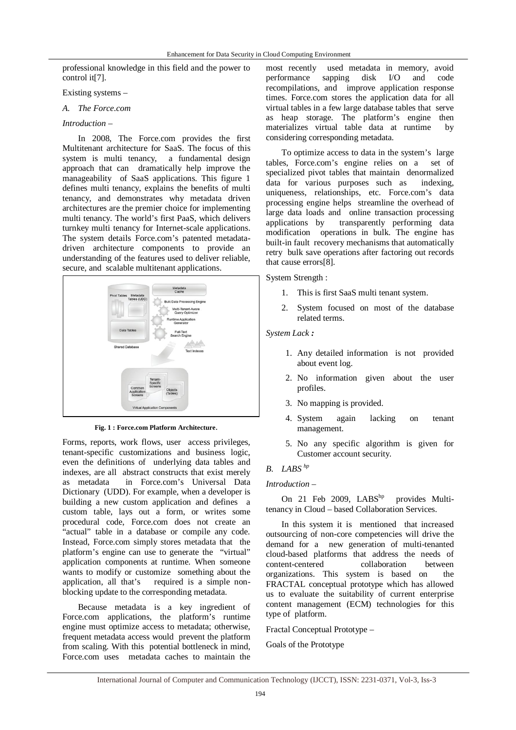professional knowledge in this field and the power to control it[7].

Existing systems –

#### *A. The Force.com*

#### *Introduction –*

In 2008, The Force.com provides the first Multitenant architecture for SaaS. The focus of this system is multi tenancy, a fundamental design approach that can dramatically help improve the manageability of SaaS applications. This figure 1 defines multi tenancy, explains the benefits of multi tenancy, and demonstrates why metadata driven architectures are the premier choice for implementing multi tenancy. The world's first PaaS, which delivers turnkey multi tenancy for Internet-scale applications. The system details Force.com's patented metadatadriven architecture components to provide an understanding of the features used to deliver reliable, secure, and scalable multitenant applications.



**Fig. 1 : Force.com Platform Architecture**.

Forms, reports, work flows, user access privileges, tenant-specific customizations and business logic, even the definitions of underlying data tables and indexes, are all abstract constructs that exist merely as metadata in Force.com's Universal Data Dictionary (UDD). For example, when a developer is building a new custom application and defines a custom table, lays out a form, or writes some procedural code, Force.com does not create an "actual" table in a database or compile any code. Instead, Force.com simply stores metadata that the platform's engine can use to generate the "virtual" application components at runtime. When someone wants to modify or customize something about the application, all that's required is a simple nonblocking update to the corresponding metadata.

Because metadata is a key ingredient of Force.com applications, the platform's runtime engine must optimize access to metadata; otherwise, frequent metadata access would prevent the platform from scaling. With this potential bottleneck in mind, Force.com uses metadata caches to maintain the

most recently used metadata in memory, avoid performance sapping disk I/O and code recompilations, and improve application response times. Force.com stores the application data for all virtual tables in a few large database tables that serve as heap storage. The platform's engine then materializes virtual table data at runtime by considering corresponding metadata.

To optimize access to data in the system's large tables, Force.com's engine relies on a set of specialized pivot tables that maintain denormalized data for various purposes such as indexing, uniqueness, relationships, etc. Force.com's data processing engine helps streamline the overhead of large data loads and online transaction processing applications by transparently performing data modification operations in bulk. The engine has built-in fault recovery mechanisms that automatically retry bulk save operations after factoring out records that cause errors[8].

System Strength :

- 1. This is first SaaS multi tenant system.
- 2. System focused on most of the database related terms.

*System Lack :*

- 1. Any detailed information is not provided about event log.
- 2. No information given about the user profiles.
- 3. No mapping is provided.
- 4. System again lacking on tenant management.
- 5. No any specific algorithm is given for Customer account security.

#### *B. LABS hp*

#### *Introduction –*

On 21 Feb 2009,  $LABS<sup>hp</sup>$  provides Multitenancy in Cloud – based Collaboration Services.

In this system it is mentioned that increased outsourcing of non-core competencies will drive the demand for a new generation of multi-tenanted cloud-based platforms that address the needs of content-centered collaboration between organizations. This system is based on the FRACTAL conceptual prototype which has allowed us to evaluate the suitability of current enterprise content management (ECM) technologies for this type of platform.

Fractal Conceptual Prototype –

Goals of the Prototype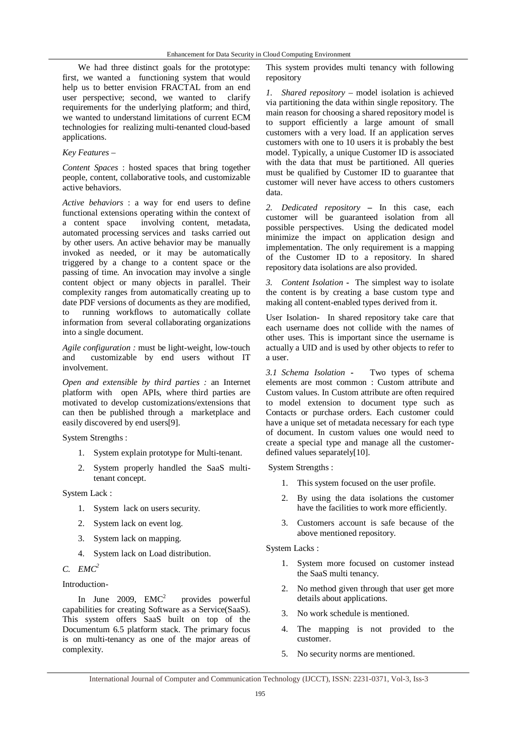We had three distinct goals for the prototype: first, we wanted a functioning system that would help us to better envision FRACTAL from an end user perspective; second, we wanted to clarify requirements for the underlying platform; and third, we wanted to understand limitations of current ECM technologies for realizing multi-tenanted cloud-based applications.

#### *Key Features –*

*Content Spaces* : hosted spaces that bring together people, content, collaborative tools, and customizable active behaviors.

*Active behaviors* : a way for end users to define functional extensions operating within the context of a content space involving content, metadata, automated processing services and tasks carried out by other users. An active behavior may be manually invoked as needed, or it may be automatically triggered by a change to a content space or the passing of time. An invocation may involve a single content object or many objects in parallel. Their complexity ranges from automatically creating up to date PDF versions of documents as they are modified, to running workflows to automatically collate information from several collaborating organizations into a single document.

*Agile configuration :* must be light-weight, low-touch and customizable by end users without IT involvement.

*Open and extensible by third parties :* an Internet platform with open APIs, where third parties are motivated to develop customizations/extensions that can then be published through a marketplace and easily discovered by end users[9].

System Strengths :

- 1. System explain prototype for Multi-tenant.
- 2. System properly handled the SaaS multitenant concept.

System Lack :

- 1. System lack on users security.
- 2. System lack on event log.
- 3. System lack on mapping.
- 4. System lack on Load distribution.

# *C. EMC<sup>2</sup>*

Introduction-

In June 2009,  $EMC<sup>2</sup>$  provides powerful capabilities for creating Software as a Service(SaaS). This system offers SaaS built on top of the Documentum 6.5 platform stack. The primary focus is on multi-tenancy as one of the major areas of complexity.

This system provides multi tenancy with following repository

*1. Shared repository* – model isolation is achieved via partitioning the data within single repository. The main reason for choosing a shared repository model is to support efficiently a large amount of small customers with a very load. If an application serves customers with one to 10 users it is probably the best model. Typically, a unique Customer ID is associated with the data that must be partitioned. All queries must be qualified by Customer ID to guarantee that customer will never have access to others customers data.

*2. Dedicated repository* **–** In this case, each customer will be guaranteed isolation from all possible perspectives. Using the dedicated model minimize the impact on application design and implementation. The only requirement is a mapping of the Customer ID to a repository. In shared repository data isolations are also provided.

*3. Content Isolation* **-** The simplest way to isolate the content is by creating a base custom type and making all content-enabled types derived from it.

User Isolation- In shared repository take care that each username does not collide with the names of other uses. This is important since the username is actually a UID and is used by other objects to refer to a user.

*3.1 Schema Isolation* **-** Two types of schema elements are most common : Custom attribute and Custom values. In Custom attribute are often required to model extension to document type such as Contacts or purchase orders. Each customer could have a unique set of metadata necessary for each type of document. In custom values one would need to create a special type and manage all the customerdefined values separately[10].

System Strengths :

- 1. This system focused on the user profile.
- 2. By using the data isolations the customer have the facilities to work more efficiently.
- 3. Customers account is safe because of the above mentioned repository.

System Lacks :

- 1. System more focused on customer instead the SaaS multi tenancy.
- 2. No method given through that user get more details about applications.
- 3. No work schedule is mentioned.
- 4. The mapping is not provided to the customer.
- 5. No security norms are mentioned.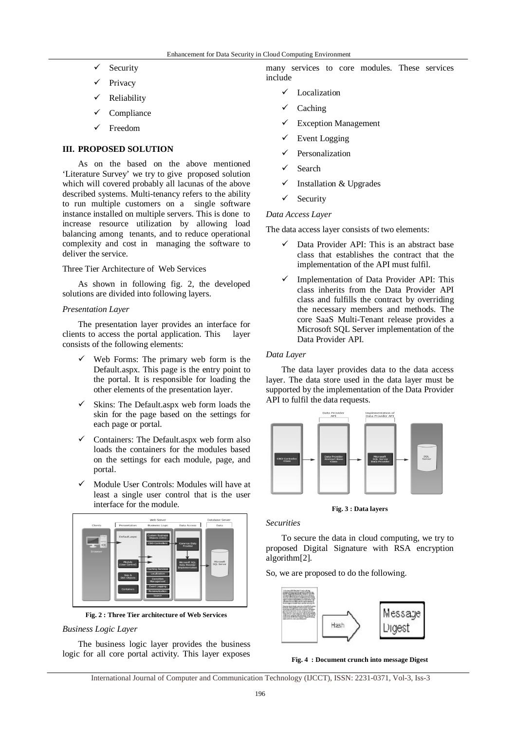- $\checkmark$  Security
- Privacy
- Reliability
- Compliance
- Freedom

### **III. PROPOSED SOLUTION**

As on the based on the above mentioned 'Literature Survey' we try to give proposed solution which will covered probably all lacunas of the above described systems. Multi-tenancy refers to the ability to run multiple customers on a single software instance installed on multiple servers. This is done to increase resource utilization by allowing load balancing among tenants, and to reduce operational complexity and cost in managing the software to deliver the service.

#### Three Tier Architecture of Web Services

As shown in following fig. 2, the developed solutions are divided into following layers.

# *Presentation Layer*

The presentation layer provides an interface for clients to access the portal application. This layer consists of the following elements:

- Web Forms: The primary web form is the Default.aspx. This page is the entry point to the portal. It is responsible for loading the other elements of the presentation layer.
- $\checkmark$  Skins: The Default.aspx web form loads the skin for the page based on the settings for each page or portal.
- $\checkmark$  Containers: The Default.aspx web form also loads the containers for the modules based on the settings for each module, page, and portal.
- Module User Controls: Modules will have at least a single user control that is the user interface for the module.



**Fig. 2 : Three Tier architecture of Web Services**

### *Business Logic Layer*

The business logic layer provides the business logic for all core portal activity. This layer exposes

many services to core modules. These services include

- Localization
- Caching
- $\checkmark$  Exception Management
- Event Logging
- Personalization
- Search
- Installation & Upgrades
- Security

#### *Data Access Layer*

The data access layer consists of two elements:

- Data Provider API: This is an abstract base class that establishes the contract that the implementation of the API must fulfil.
- Implementation of Data Provider API: This class inherits from the Data Provider API class and fulfills the contract by overriding the necessary members and methods. The core SaaS Multi-Tenant release provides a Microsoft SQL Server implementation of the Data Provider API.

#### *Data Layer*

The data layer provides data to the data access layer. The data store used in the data layer must be supported by the implementation of the Data Provider API to fulfil the data requests.



**Fig. 3 : Data layers**

#### *Securities*

To secure the data in cloud computing, we try to proposed Digital Signature with RSA encryption algorithm[2].

So, we are proposed to do the following.



**Fig. 4 : Document crunch into message Digest**